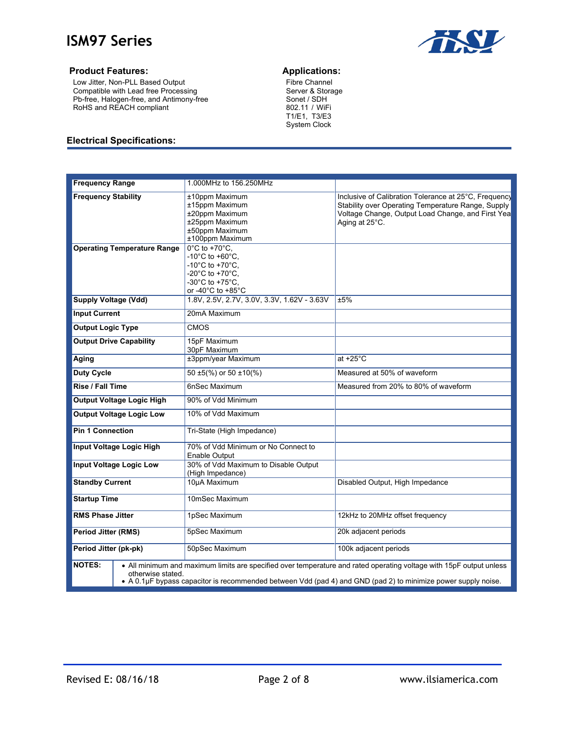

#### **Product Features: Applications:**

Low Jitter, Non-PLL Based Output Compatible with Lead free Processing Pb-free, Halogen-free, and Antimony-free RoHS and REACH compliant

Fibre Channel Server & Storage Sonet / SDH 802.11 / WiFi T1/E1, T3/E3 System Clock

#### **Electrical Specifications:**

| <b>Frequency Range</b>                                                                                                                                                                                                                                                     | 1.000MHz to 156.250MHz                                                                                                                                                                                                      |                                                                                                                                                                                    |  |  |
|----------------------------------------------------------------------------------------------------------------------------------------------------------------------------------------------------------------------------------------------------------------------------|-----------------------------------------------------------------------------------------------------------------------------------------------------------------------------------------------------------------------------|------------------------------------------------------------------------------------------------------------------------------------------------------------------------------------|--|--|
| <b>Frequency Stability</b>                                                                                                                                                                                                                                                 | ±10ppm Maximum<br>±15ppm Maximum<br>±20ppm Maximum<br>±25ppm Maximum<br>±50ppm Maximum<br>±100ppm Maximum                                                                                                                   | Inclusive of Calibration Tolerance at 25°C, Frequency<br>Stability over Operating Temperature Range, Supply<br>Voltage Change, Output Load Change, and First Yea<br>Aging at 25°C. |  |  |
| <b>Operating Temperature Range</b>                                                                                                                                                                                                                                         | $0^{\circ}$ C to +70 $^{\circ}$ C,<br>-10 $^{\circ}$ C to +60 $^{\circ}$ C.<br>-10 $^{\circ}$ C to +70 $^{\circ}$ C.<br>-20 $^{\circ}$ C to +70 $^{\circ}$ C.<br>-30 $^{\circ}$ C to +75 $^{\circ}$ C.<br>or -40°C to +85°C |                                                                                                                                                                                    |  |  |
| <b>Supply Voltage (Vdd)</b>                                                                                                                                                                                                                                                | 1.8V, 2.5V, 2.7V, 3.0V, 3.3V, 1.62V - 3.63V                                                                                                                                                                                 | ±5%                                                                                                                                                                                |  |  |
| <b>Input Current</b>                                                                                                                                                                                                                                                       | 20mA Maximum                                                                                                                                                                                                                |                                                                                                                                                                                    |  |  |
| <b>Output Logic Type</b>                                                                                                                                                                                                                                                   | <b>CMOS</b>                                                                                                                                                                                                                 |                                                                                                                                                                                    |  |  |
| <b>Output Drive Capability</b>                                                                                                                                                                                                                                             | 15pF Maximum<br>30pF Maximum                                                                                                                                                                                                |                                                                                                                                                                                    |  |  |
| Aging                                                                                                                                                                                                                                                                      | ±3ppm/year Maximum                                                                                                                                                                                                          | at $+25^{\circ}$ C                                                                                                                                                                 |  |  |
| <b>Duty Cycle</b>                                                                                                                                                                                                                                                          | $50 \pm 5$ %) or $50 \pm 10$ %)                                                                                                                                                                                             | Measured at 50% of waveform                                                                                                                                                        |  |  |
| <b>Rise / Fall Time</b>                                                                                                                                                                                                                                                    | 6nSec Maximum                                                                                                                                                                                                               | Measured from 20% to 80% of waveform                                                                                                                                               |  |  |
| <b>Output Voltage Logic High</b>                                                                                                                                                                                                                                           | 90% of Vdd Minimum                                                                                                                                                                                                          |                                                                                                                                                                                    |  |  |
| <b>Output Voltage Logic Low</b>                                                                                                                                                                                                                                            | 10% of Vdd Maximum                                                                                                                                                                                                          |                                                                                                                                                                                    |  |  |
| <b>Pin 1 Connection</b>                                                                                                                                                                                                                                                    | Tri-State (High Impedance)                                                                                                                                                                                                  |                                                                                                                                                                                    |  |  |
| <b>Input Voltage Logic High</b>                                                                                                                                                                                                                                            | 70% of Vdd Minimum or No Connect to<br>Enable Output                                                                                                                                                                        |                                                                                                                                                                                    |  |  |
| <b>Input Voltage Logic Low</b>                                                                                                                                                                                                                                             | 30% of Vdd Maximum to Disable Output<br>(High Impedance)                                                                                                                                                                    |                                                                                                                                                                                    |  |  |
| <b>Standby Current</b>                                                                                                                                                                                                                                                     | 10µA Maximum                                                                                                                                                                                                                | Disabled Output, High Impedance                                                                                                                                                    |  |  |
| <b>Startup Time</b>                                                                                                                                                                                                                                                        | 10mSec Maximum                                                                                                                                                                                                              |                                                                                                                                                                                    |  |  |
| <b>RMS Phase Jitter</b>                                                                                                                                                                                                                                                    | 1pSec Maximum                                                                                                                                                                                                               | 12kHz to 20MHz offset frequency                                                                                                                                                    |  |  |
| <b>Period Jitter (RMS)</b>                                                                                                                                                                                                                                                 | 5pSec Maximum                                                                                                                                                                                                               | 20k adjacent periods                                                                                                                                                               |  |  |
| Period Jitter (pk-pk)                                                                                                                                                                                                                                                      | 50pSec Maximum                                                                                                                                                                                                              | 100k adjacent periods                                                                                                                                                              |  |  |
| <b>NOTES:</b><br>• All minimum and maximum limits are specified over temperature and rated operating voltage with 15pF output unless<br>otherwise stated.<br>• A 0.1µF bypass capacitor is recommended between Vdd (pad 4) and GND (pad 2) to minimize power supply noise. |                                                                                                                                                                                                                             |                                                                                                                                                                                    |  |  |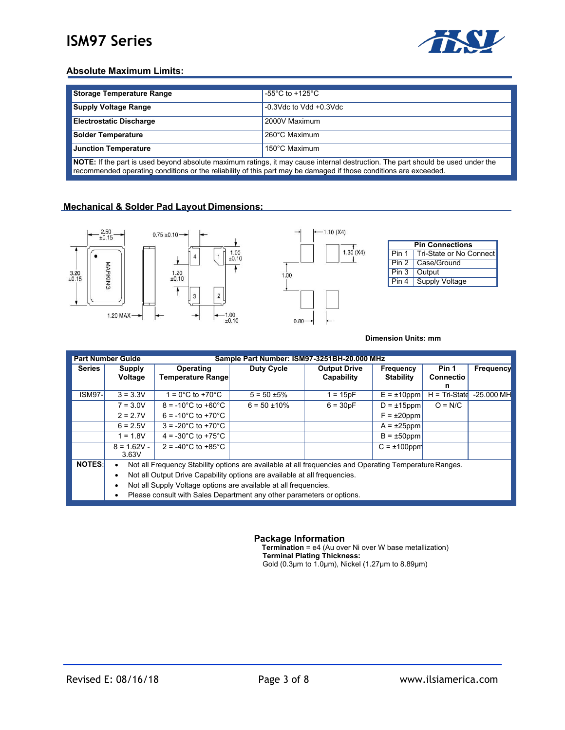

### **Absolute Maximum Limits:**

| Storage Temperature Range                                          | $-55^{\circ}$ C to +125 $^{\circ}$ C |  |
|--------------------------------------------------------------------|--------------------------------------|--|
| <b>Supply Voltage Range</b>                                        | $-0.3$ Vdc to Vdd $+0.3$ Vdc         |  |
| <b>Electrostatic Discharge</b>                                     | 2000V Maximum                        |  |
| <b>Solder Temperature</b>                                          | 260°C Maximum                        |  |
| <b>Junction Temperature</b>                                        | 150°C Maximum                        |  |
| $\cdots$<br>.<br>.<br>. .<br>.<br>$\cdot$ .<br>.<br>$- \cdot$<br>. |                                      |  |

**NOTE:** If the part is used beyond absolute maximum ratings, it may cause internal destruction. The part should be used under the recommended operating conditions or the reliability of this part may be damaged if those conditions are exceeded.

#### **Mechanical & Solder Pad Layout Dimensions:**



**Dimension Units: mm**

| <b>Part Number Guide</b><br>Sample Part Number: ISM97-3251BH-20.000 MHz |                                                                                                                     |                                         |                   |                                   |                               |                                |              |  |
|-------------------------------------------------------------------------|---------------------------------------------------------------------------------------------------------------------|-----------------------------------------|-------------------|-----------------------------------|-------------------------------|--------------------------------|--------------|--|
| Series                                                                  | <b>Supply</b><br>Voltage                                                                                            | Operating<br>Temperature Range          | Duty Cycle        | <b>Output Drive</b><br>Capability | Frequency<br><b>Stability</b> | Pin 1<br><b>Connectio</b><br>n | Frequency    |  |
| <b>ISM97-</b>                                                           | $3 = 3.3V$                                                                                                          | $1 = 0^{\circ}$ C to +70 $^{\circ}$ C   | $5 = 50 \pm 5\%$  | $1 = 15pF$                        | $E = \pm 10$ ppm              | $H = Tri-State$                | $-25.000$ MH |  |
|                                                                         | $7 = 3.0V$                                                                                                          | $8 = -10^{\circ}$ C to $+60^{\circ}$ C  | $6 = 50 \pm 10\%$ | $6 = 30pF$                        | $D = \pm 15$ ppm              | $O = N/C$                      |              |  |
|                                                                         | $2 = 2.7V$                                                                                                          | $6 = -10^{\circ}$ C to +70 $^{\circ}$ C |                   |                                   | $F = \pm 20$ ppm              |                                |              |  |
|                                                                         | $6 = 2.5V$                                                                                                          | $3 = -20^{\circ}$ C to $+70^{\circ}$ C  |                   |                                   | $A = \pm 25$ ppm              |                                |              |  |
|                                                                         | $1 = 1.8V$                                                                                                          | $4 = -30^{\circ}$ C to $+75^{\circ}$ C  |                   |                                   | $B = \pm 50$ ppm              |                                |              |  |
|                                                                         | $8 = 1.62V -$<br>3.63V                                                                                              | $2 = -40^{\circ}$ C to $+85^{\circ}$ C  |                   |                                   | $C = \pm 100$ ppm             |                                |              |  |
| <b>NOTES:</b>                                                           | Not all Frequency Stability options are available at all frequencies and Operating Temperature Ranges.<br>$\bullet$ |                                         |                   |                                   |                               |                                |              |  |
|                                                                         | Not all Output Drive Capability options are available at all frequencies.                                           |                                         |                   |                                   |                               |                                |              |  |
|                                                                         | Not all Supply Voltage options are available at all frequencies.                                                    |                                         |                   |                                   |                               |                                |              |  |
|                                                                         | Please consult with Sales Department any other parameters or options.                                               |                                         |                   |                                   |                               |                                |              |  |

**Package Information**

**Termination** = e4 (Au over Ni over W base metallization) **Terminal Plating Thickness:** Gold (0.3µm to 1.0µm), Nickel (1.27µm to 8.89µm)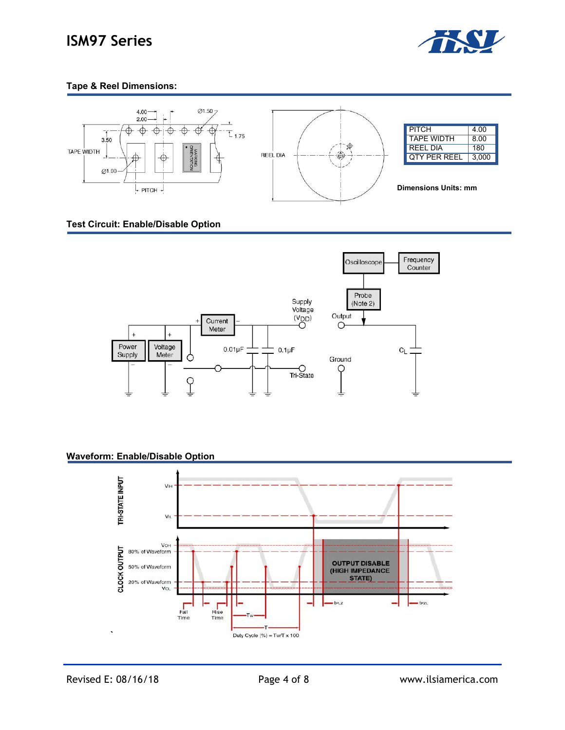

## **Tape & Reel Dimensions:**



### **Test Circuit: Enable/Disable Option**



### **Waveform: Enable/Disable Option**